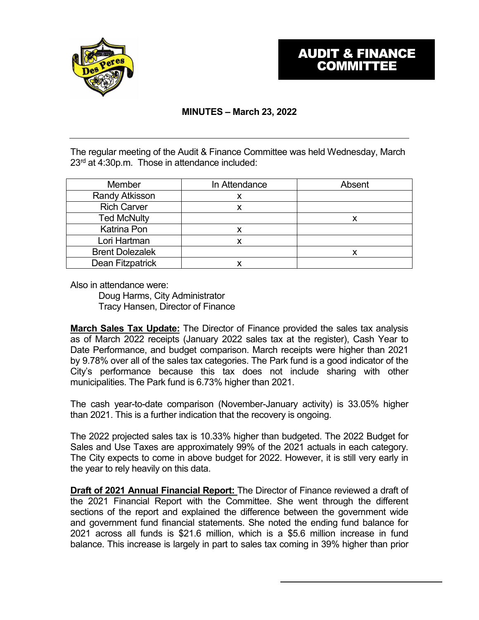

## **MINUTES – March 23, 2022**

The regular meeting of the Audit & Finance Committee was held Wednesday, March 23rd at 4:30p.m. Those in attendance included:

| Member                 | In Attendance | Absent |
|------------------------|---------------|--------|
| <b>Randy Atkisson</b>  |               |        |
| <b>Rich Carver</b>     |               |        |
| <b>Ted McNulty</b>     |               | Х      |
| <b>Katrina Pon</b>     |               |        |
| Lori Hartman           |               |        |
| <b>Brent Dolezalek</b> |               | Х      |
| Dean Fitzpatrick       |               |        |

Also in attendance were:

Doug Harms, City Administrator Tracy Hansen, Director of Finance

**March Sales Tax Update:** The Director of Finance provided the sales tax analysis as of March 2022 receipts (January 2022 sales tax at the register), Cash Year to Date Performance, and budget comparison. March receipts were higher than 2021 by 9.78% over all of the sales tax categories. The Park fund is a good indicator of the City's performance because this tax does not include sharing with other municipalities. The Park fund is 6.73% higher than 2021.

The cash year-to-date comparison (November-January activity) is 33.05% higher than 2021. This is a further indication that the recovery is ongoing.

The 2022 projected sales tax is 10.33% higher than budgeted. The 2022 Budget for Sales and Use Taxes are approximately 99% of the 2021 actuals in each category. The City expects to come in above budget for 2022. However, it is still very early in the year to rely heavily on this data.

**Draft of 2021 Annual Financial Report:** The Director of Finance reviewed a draft of the 2021 Financial Report with the Committee. She went through the different sections of the report and explained the difference between the government wide and government fund financial statements. She noted the ending fund balance for 2021 across all funds is \$21.6 million, which is a \$5.6 million increase in fund balance. This increase is largely in part to sales tax coming in 39% higher than prior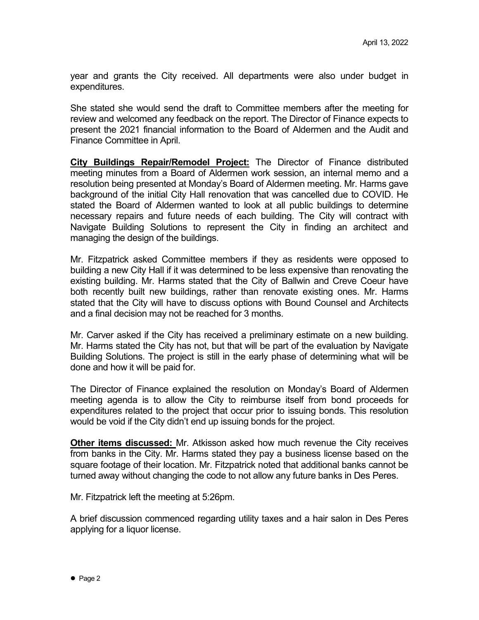year and grants the City received. All departments were also under budget in expenditures.

She stated she would send the draft to Committee members after the meeting for review and welcomed any feedback on the report. The Director of Finance expects to present the 2021 financial information to the Board of Aldermen and the Audit and Finance Committee in April.

**City Buildings Repair/Remodel Project:** The Director of Finance distributed meeting minutes from a Board of Aldermen work session, an internal memo and a resolution being presented at Monday's Board of Aldermen meeting. Mr. Harms gave background of the initial City Hall renovation that was cancelled due to COVID. He stated the Board of Aldermen wanted to look at all public buildings to determine necessary repairs and future needs of each building. The City will contract with Navigate Building Solutions to represent the City in finding an architect and managing the design of the buildings.

Mr. Fitzpatrick asked Committee members if they as residents were opposed to building a new City Hall if it was determined to be less expensive than renovating the existing building. Mr. Harms stated that the City of Ballwin and Creve Coeur have both recently built new buildings, rather than renovate existing ones. Mr. Harms stated that the City will have to discuss options with Bound Counsel and Architects and a final decision may not be reached for 3 months.

Mr. Carver asked if the City has received a preliminary estimate on a new building. Mr. Harms stated the City has not, but that will be part of the evaluation by Navigate Building Solutions. The project is still in the early phase of determining what will be done and how it will be paid for.

The Director of Finance explained the resolution on Monday's Board of Aldermen meeting agenda is to allow the City to reimburse itself from bond proceeds for expenditures related to the project that occur prior to issuing bonds. This resolution would be void if the City didn't end up issuing bonds for the project.

**Other items discussed:** Mr. Atkisson asked how much revenue the City receives from banks in the City. Mr. Harms stated they pay a business license based on the square footage of their location. Mr. Fitzpatrick noted that additional banks cannot be turned away without changing the code to not allow any future banks in Des Peres.

Mr. Fitzpatrick left the meeting at 5:26pm.

A brief discussion commenced regarding utility taxes and a hair salon in Des Peres applying for a liquor license.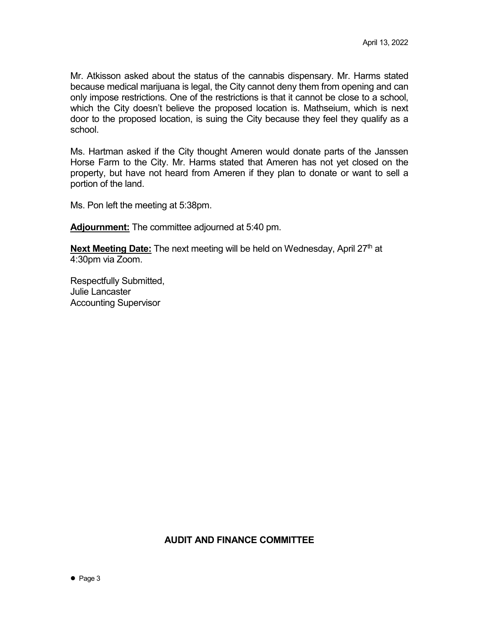Mr. Atkisson asked about the status of the cannabis dispensary. Mr. Harms stated because medical marijuana is legal, the City cannot deny them from opening and can only impose restrictions. One of the restrictions is that it cannot be close to a school, which the City doesn't believe the proposed location is. Mathseium, which is next door to the proposed location, is suing the City because they feel they qualify as a school.

Ms. Hartman asked if the City thought Ameren would donate parts of the Janssen Horse Farm to the City. Mr. Harms stated that Ameren has not yet closed on the property, but have not heard from Ameren if they plan to donate or want to sell a portion of the land.

Ms. Pon left the meeting at 5:38pm.

**Adjournment:** The committee adjourned at 5:40 pm.

**Next Meeting Date:** The next meeting will be held on Wednesday, April 27<sup>th</sup> at 4:30pm via Zoom.

Respectfully Submitted, Julie Lancaster Accounting Supervisor

#### **AUDIT AND FINANCE COMMITTEE**